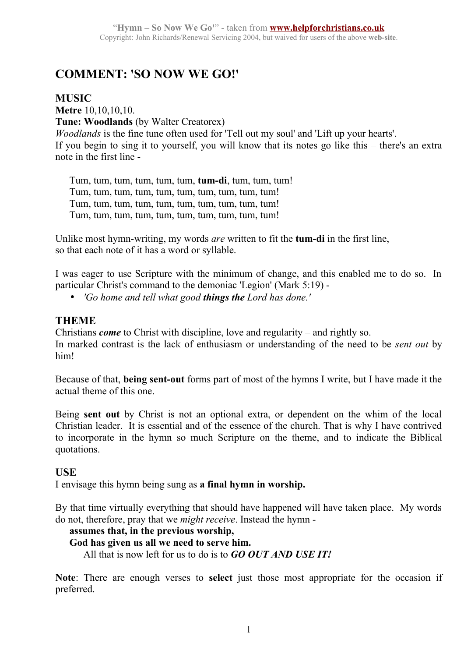# **COMMENT: 'SO NOW WE GO!'**

# **MUSIC**

**Metre** 10,10,10,10. **Tune: Woodlands** (by Walter Creatorex) *Woodlands* is the fine tune often used for 'Tell out my soul' and 'Lift up your hearts'. If you begin to sing it to yourself, you will know that its notes go like this – there's an extra note in the first line -

Tum, tum, tum, tum, tum, tum, **tum-di**, tum, tum, tum! Tum, tum, tum, tum, tum, tum, tum, tum, tum, tum! Tum, tum, tum, tum, tum, tum, tum, tum, tum, tum! Tum, tum, tum, tum, tum, tum, tum, tum, tum, tum!

Unlike most hymn-writing, my words *are* written to fit the **tum-di** in the first line, so that each note of it has a word or syllable.

I was eager to use Scripture with the minimum of change, and this enabled me to do so. In particular Christ's command to the demoniac 'Legion' (Mark 5:19) -

• *'Go home and tell what good things the Lord has done.'*

# **THEME**

Christians *come* to Christ with discipline, love and regularity – and rightly so. In marked contrast is the lack of enthusiasm or understanding of the need to be *sent out* by him!

Because of that, **being sent-out** forms part of most of the hymns I write, but I have made it the actual theme of this one.

Being **sent out** by Christ is not an optional extra, or dependent on the whim of the local Christian leader. It is essential and of the essence of the church. That is why I have contrived to incorporate in the hymn so much Scripture on the theme, and to indicate the Biblical quotations.

# **USE**

I envisage this hymn being sung as **a final hymn in worship.** 

By that time virtually everything that should have happened will have taken place. My words do not, therefore, pray that we *might receive*. Instead the hymn -

# **assumes that, in the previous worship,**

#### **God has given us all we need to serve him.**

All that is now left for us to do is to *GO OUT AND USE IT!*

**Note**: There are enough verses to **select** just those most appropriate for the occasion if preferred.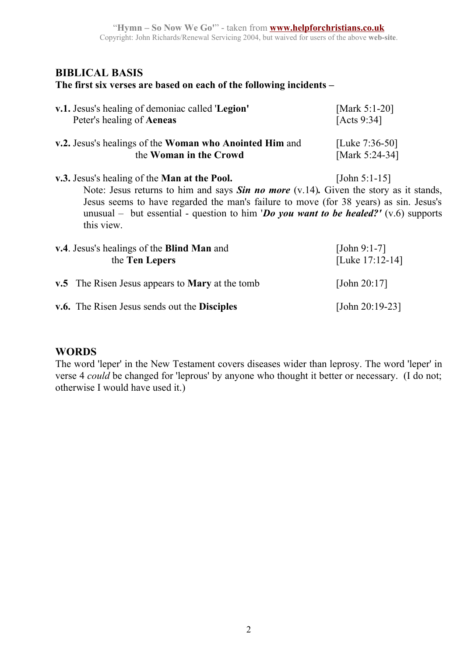# **BIBLICAL BASIS**

#### **The first six verses are based on each of the following incidents –**

| v.1. Jesus's healing of demoniac called 'Legion'                                          | [Mark 5:1-20]     |
|-------------------------------------------------------------------------------------------|-------------------|
| Peter's healing of <b>Aeneas</b>                                                          | [Acts $9:34$ ]    |
| v.2. Jesus's healings of the Woman who Anointed Him and                                   | [Luke $7:36-50$ ] |
| the Woman in the Crowd                                                                    | [Mark 5:24-34]    |
| <b>v.3.</b> Jesus's healing of the <b>Man at the Pool.</b>                                | [John 5:1-15]     |
| Note: Lesus returns to him and says $\chi$ in no more (y 14) Given the story as it stands |                   |

Note: Jesus returns to him and says *Sin no more* (v.14)*.* Given the story as it stands, Jesus seems to have regarded the man's failure to move (for 38 years) as sin. Jesus's unusual – but essential - question to him '*Do you want to be healed?'* (v.6) supports this view.

| v.4. Jesus's healings of the Blind Man and<br>the Ten Lepers |                                                        | [John 9:1-7]<br>[Luke $17:12-14$ ] |
|--------------------------------------------------------------|--------------------------------------------------------|------------------------------------|
|                                                              | v.5 The Risen Jesus appears to <b>Mary</b> at the tomb | [John $20:17$ ]                    |
|                                                              | v.6. The Risen Jesus sends out the Disciples           | [John $20:19-23$ ]                 |

# **WORDS**

The word 'leper' in the New Testament covers diseases wider than leprosy. The word 'leper' in verse 4 *could* be changed for 'leprous' by anyone who thought it better or necessary. (I do not; otherwise I would have used it.)